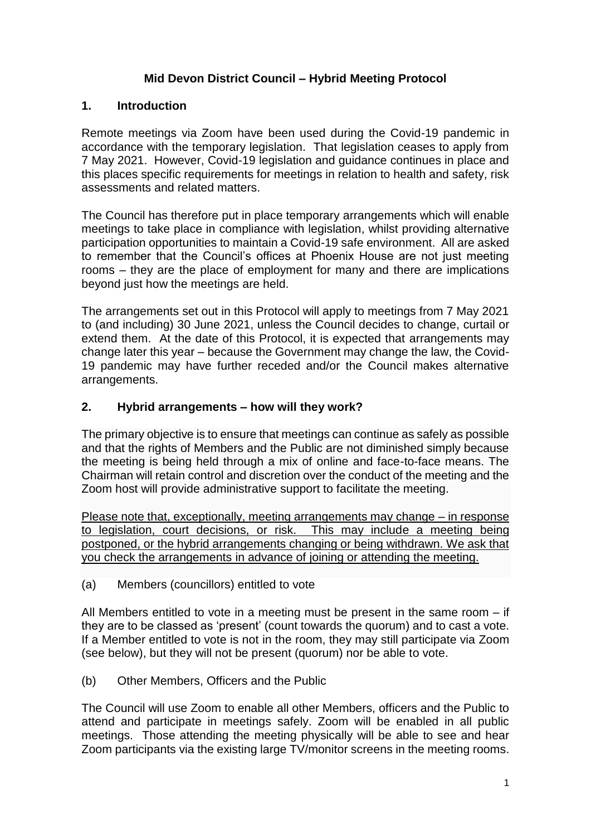## **Mid Devon District Council – Hybrid Meeting Protocol**

#### **1. Introduction**

Remote meetings via Zoom have been used during the Covid-19 pandemic in accordance with the temporary legislation. That legislation ceases to apply from 7 May 2021. However, Covid-19 legislation and guidance continues in place and this places specific requirements for meetings in relation to health and safety, risk assessments and related matters.

The Council has therefore put in place temporary arrangements which will enable meetings to take place in compliance with legislation, whilst providing alternative participation opportunities to maintain a Covid-19 safe environment. All are asked to remember that the Council's offices at Phoenix House are not just meeting rooms – they are the place of employment for many and there are implications beyond just how the meetings are held.

The arrangements set out in this Protocol will apply to meetings from 7 May 2021 to (and including) 30 June 2021, unless the Council decides to change, curtail or extend them. At the date of this Protocol, it is expected that arrangements may change later this year – because the Government may change the law, the Covid-19 pandemic may have further receded and/or the Council makes alternative arrangements.

## **2. Hybrid arrangements – how will they work?**

The primary objective is to ensure that meetings can continue as safely as possible and that the rights of Members and the Public are not diminished simply because the meeting is being held through a mix of online and face-to-face means. The Chairman will retain control and discretion over the conduct of the meeting and the Zoom host will provide administrative support to facilitate the meeting.

Please note that, exceptionally, meeting arrangements may change – in response to legislation, court decisions, or risk. This may include a meeting being postponed, or the hybrid arrangements changing or being withdrawn. We ask that you check the arrangements in advance of joining or attending the meeting.

(a) Members (councillors) entitled to vote

All Members entitled to vote in a meeting must be present in the same room – if they are to be classed as 'present' (count towards the quorum) and to cast a vote. If a Member entitled to vote is not in the room, they may still participate via Zoom (see below), but they will not be present (quorum) nor be able to vote.

(b) Other Members, Officers and the Public

The Council will use Zoom to enable all other Members, officers and the Public to attend and participate in meetings safely. Zoom will be enabled in all public meetings. Those attending the meeting physically will be able to see and hear Zoom participants via the existing large TV/monitor screens in the meeting rooms.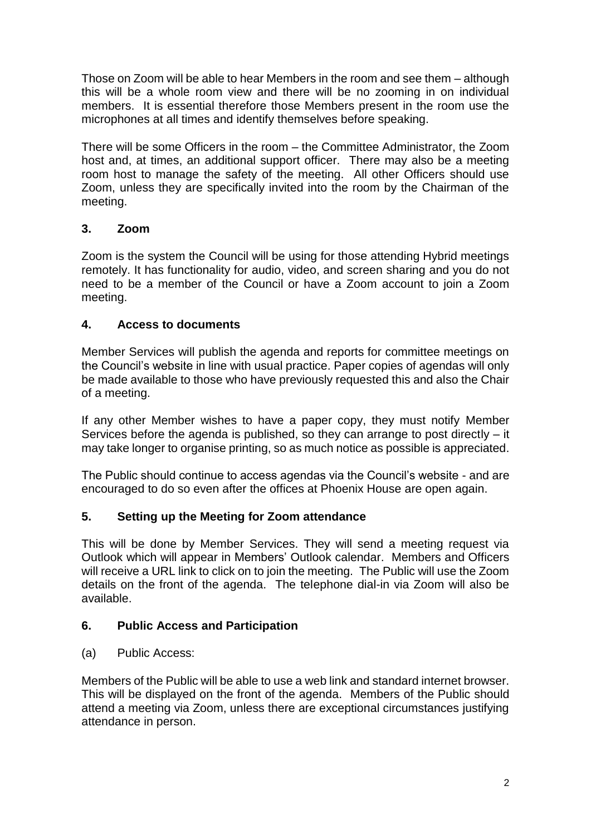Those on Zoom will be able to hear Members in the room and see them – although this will be a whole room view and there will be no zooming in on individual members. It is essential therefore those Members present in the room use the microphones at all times and identify themselves before speaking.

There will be some Officers in the room – the Committee Administrator, the Zoom host and, at times, an additional support officer. There may also be a meeting room host to manage the safety of the meeting. All other Officers should use Zoom, unless they are specifically invited into the room by the Chairman of the meeting.

## **3. Zoom**

Zoom is the system the Council will be using for those attending Hybrid meetings remotely. It has functionality for audio, video, and screen sharing and you do not need to be a member of the Council or have a Zoom account to join a Zoom meeting.

# **4. Access to documents**

Member Services will publish the agenda and reports for committee meetings on the Council's website in line with usual practice. Paper copies of agendas will only be made available to those who have previously requested this and also the Chair of a meeting.

If any other Member wishes to have a paper copy, they must notify Member Services before the agenda is published, so they can arrange to post directly – it may take longer to organise printing, so as much notice as possible is appreciated.

The Public should continue to access agendas via the Council's website - and are encouraged to do so even after the offices at Phoenix House are open again.

## **5. Setting up the Meeting for Zoom attendance**

This will be done by Member Services. They will send a meeting request via Outlook which will appear in Members' Outlook calendar. Members and Officers will receive a URL link to click on to join the meeting. The Public will use the Zoom details on the front of the agenda. The telephone dial-in via Zoom will also be available.

## **6. Public Access and Participation**

(a) Public Access:

Members of the Public will be able to use a web link and standard internet browser. This will be displayed on the front of the agenda. Members of the Public should attend a meeting via Zoom, unless there are exceptional circumstances justifying attendance in person.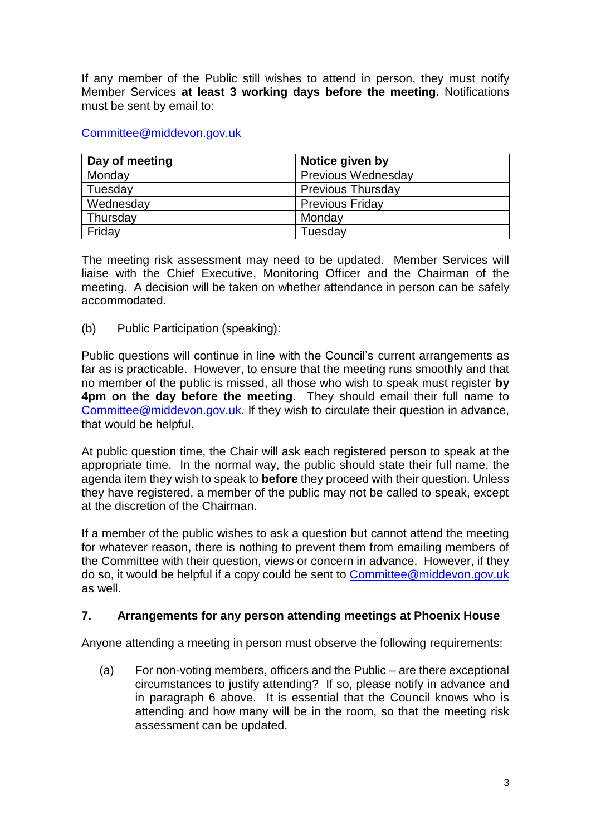If any member of the Public still wishes to attend in person, they must notify Member Services **at least 3 working days before the meeting.** Notifications must be sent by email to:

#### [Committee@middevon.gov.uk](mailto:Committee@middevon.gov.uk)

| Day of meeting | Notice given by           |
|----------------|---------------------------|
| Monday         | <b>Previous Wednesday</b> |
| Tuesday        | <b>Previous Thursday</b>  |
| Wednesday      | <b>Previous Friday</b>    |
| Thursday       | Monday                    |
| Friday         | Tuesday                   |

The meeting risk assessment may need to be updated. Member Services will liaise with the Chief Executive, Monitoring Officer and the Chairman of the meeting. A decision will be taken on whether attendance in person can be safely accommodated.

(b) Public Participation (speaking):

Public questions will continue in line with the Council's current arrangements as far as is practicable. However, to ensure that the meeting runs smoothly and that no member of the public is missed, all those who wish to speak must register **by 4pm on the day before the meeting**. They should email their full name to [Committee@middevon.gov.uk.](mailto:Committee@middevon.gov.uk) If they wish to circulate their question in advance, that would be helpful.

At public question time, the Chair will ask each registered person to speak at the appropriate time. In the normal way, the public should state their full name, the agenda item they wish to speak to **before** they proceed with their question. Unless they have registered, a member of the public may not be called to speak, except at the discretion of the Chairman.

If a member of the public wishes to ask a question but cannot attend the meeting for whatever reason, there is nothing to prevent them from emailing members of the Committee with their question, views or concern in advance. However, if they do so, it would be helpful if a copy could be sent to [Committee@middevon.gov.uk](mailto:Committee@middevon.gov.uk) as well.

## **7. Arrangements for any person attending meetings at Phoenix House**

Anyone attending a meeting in person must observe the following requirements:

(a) For non-voting members, officers and the Public – are there exceptional circumstances to justify attending? If so, please notify in advance and in paragraph 6 above. It is essential that the Council knows who is attending and how many will be in the room, so that the meeting risk assessment can be updated.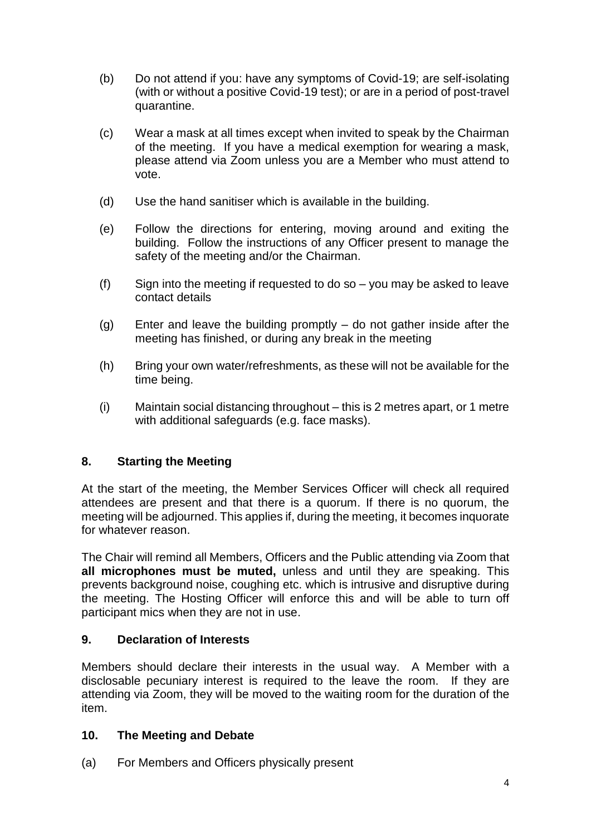- (b) Do not attend if you: have any symptoms of Covid-19; are self-isolating (with or without a positive Covid-19 test); or are in a period of post-travel quarantine.
- (c) Wear a mask at all times except when invited to speak by the Chairman of the meeting. If you have a medical exemption for wearing a mask, please attend via Zoom unless you are a Member who must attend to vote.
- (d) Use the hand sanitiser which is available in the building.
- (e) Follow the directions for entering, moving around and exiting the building. Follow the instructions of any Officer present to manage the safety of the meeting and/or the Chairman.
- (f) Sign into the meeting if requested to do so you may be asked to leave contact details
- (g) Enter and leave the building promptly do not gather inside after the meeting has finished, or during any break in the meeting
- (h) Bring your own water/refreshments, as these will not be available for the time being.
- (i) Maintain social distancing throughout this is 2 metres apart, or 1 metre with additional safeguards (e.g. face masks).

## **8. Starting the Meeting**

At the start of the meeting, the Member Services Officer will check all required attendees are present and that there is a quorum. If there is no quorum, the meeting will be adjourned. This applies if, during the meeting, it becomes inquorate for whatever reason.

The Chair will remind all Members, Officers and the Public attending via Zoom that **all microphones must be muted,** unless and until they are speaking. This prevents background noise, coughing etc. which is intrusive and disruptive during the meeting. The Hosting Officer will enforce this and will be able to turn off participant mics when they are not in use.

#### **9. Declaration of Interests**

Members should declare their interests in the usual way. A Member with a disclosable pecuniary interest is required to the leave the room. If they are attending via Zoom, they will be moved to the waiting room for the duration of the item.

#### **10. The Meeting and Debate**

(a) For Members and Officers physically present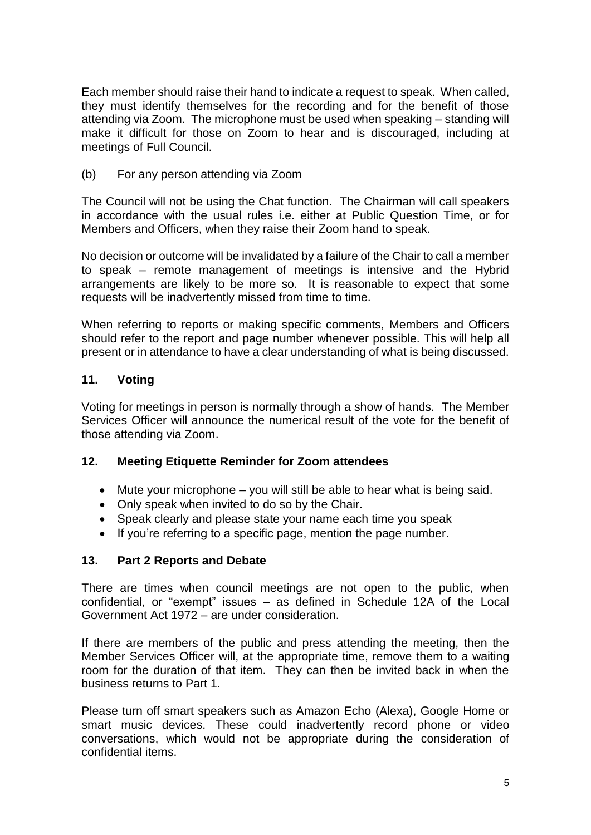Each member should raise their hand to indicate a request to speak. When called, they must identify themselves for the recording and for the benefit of those attending via Zoom. The microphone must be used when speaking – standing will make it difficult for those on Zoom to hear and is discouraged, including at meetings of Full Council.

(b) For any person attending via Zoom

The Council will not be using the Chat function. The Chairman will call speakers in accordance with the usual rules i.e. either at Public Question Time, or for Members and Officers, when they raise their Zoom hand to speak.

No decision or outcome will be invalidated by a failure of the Chair to call a member to speak – remote management of meetings is intensive and the Hybrid arrangements are likely to be more so. It is reasonable to expect that some requests will be inadvertently missed from time to time.

When referring to reports or making specific comments, Members and Officers should refer to the report and page number whenever possible. This will help all present or in attendance to have a clear understanding of what is being discussed.

## **11. Voting**

Voting for meetings in person is normally through a show of hands. The Member Services Officer will announce the numerical result of the vote for the benefit of those attending via Zoom.

## **12. Meeting Etiquette Reminder for Zoom attendees**

- $\bullet$  Mute your microphone you will still be able to hear what is being said.
- Only speak when invited to do so by the Chair.
- Speak clearly and please state your name each time you speak
- If you're referring to a specific page, mention the page number.

## **13. Part 2 Reports and Debate**

There are times when council meetings are not open to the public, when confidential, or "exempt" issues – as defined in Schedule 12A of the Local Government Act 1972 – are under consideration.

If there are members of the public and press attending the meeting, then the Member Services Officer will, at the appropriate time, remove them to a waiting room for the duration of that item. They can then be invited back in when the business returns to Part 1.

Please turn off smart speakers such as Amazon Echo (Alexa), Google Home or smart music devices. These could inadvertently record phone or video conversations, which would not be appropriate during the consideration of confidential items.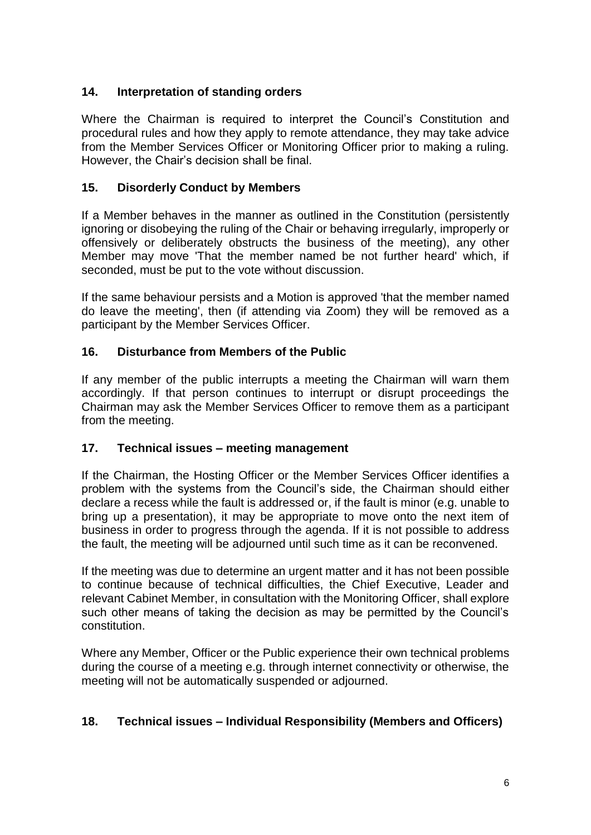## **14. Interpretation of standing orders**

Where the Chairman is required to interpret the Council's Constitution and procedural rules and how they apply to remote attendance, they may take advice from the Member Services Officer or Monitoring Officer prior to making a ruling. However, the Chair's decision shall be final.

## **15. Disorderly Conduct by Members**

If a Member behaves in the manner as outlined in the Constitution (persistently ignoring or disobeying the ruling of the Chair or behaving irregularly, improperly or offensively or deliberately obstructs the business of the meeting), any other Member may move 'That the member named be not further heard' which, if seconded, must be put to the vote without discussion.

If the same behaviour persists and a Motion is approved 'that the member named do leave the meeting', then (if attending via Zoom) they will be removed as a participant by the Member Services Officer.

# **16. Disturbance from Members of the Public**

If any member of the public interrupts a meeting the Chairman will warn them accordingly. If that person continues to interrupt or disrupt proceedings the Chairman may ask the Member Services Officer to remove them as a participant from the meeting.

## **17. Technical issues – meeting management**

If the Chairman, the Hosting Officer or the Member Services Officer identifies a problem with the systems from the Council's side, the Chairman should either declare a recess while the fault is addressed or, if the fault is minor (e.g. unable to bring up a presentation), it may be appropriate to move onto the next item of business in order to progress through the agenda. If it is not possible to address the fault, the meeting will be adjourned until such time as it can be reconvened.

If the meeting was due to determine an urgent matter and it has not been possible to continue because of technical difficulties, the Chief Executive, Leader and relevant Cabinet Member, in consultation with the Monitoring Officer, shall explore such other means of taking the decision as may be permitted by the Council's constitution.

Where any Member, Officer or the Public experience their own technical problems during the course of a meeting e.g. through internet connectivity or otherwise, the meeting will not be automatically suspended or adjourned.

## **18. Technical issues – Individual Responsibility (Members and Officers)**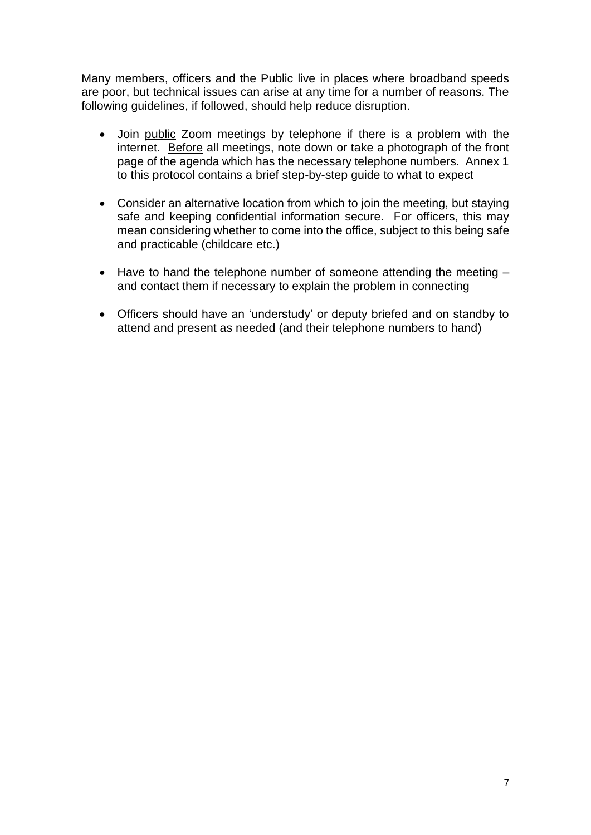Many members, officers and the Public live in places where broadband speeds are poor, but technical issues can arise at any time for a number of reasons. The following guidelines, if followed, should help reduce disruption.

- Join public Zoom meetings by telephone if there is a problem with the internet. Before all meetings, note down or take a photograph of the front page of the agenda which has the necessary telephone numbers. Annex 1 to this protocol contains a brief step-by-step guide to what to expect
- Consider an alternative location from which to join the meeting, but staying safe and keeping confidential information secure. For officers, this may mean considering whether to come into the office, subject to this being safe and practicable (childcare etc.)
- $\bullet$  Have to hand the telephone number of someone attending the meeting  $$ and contact them if necessary to explain the problem in connecting
- Officers should have an 'understudy' or deputy briefed and on standby to attend and present as needed (and their telephone numbers to hand)